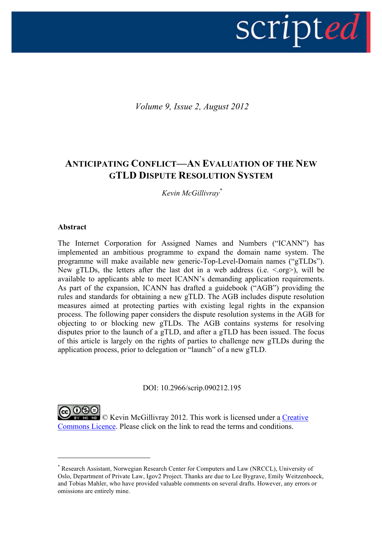

*Volume 9, Issue 2, August 2012*

# **ANTICIPATING CONFLICT—AN EVALUATION OF THE NEW GTLD DISPUTE RESOLUTION SYSTEM**

*Kevin McGillivray\**

# **Abstract**

 $\overline{a}$ 

The Internet Corporation for Assigned Names and Numbers ("ICANN") has implemented an ambitious programme to expand the domain name system. The programme will make available new generic-Top-Level-Domain names ("gTLDs"). New gTLDs, the letters after the last dot in a web address (i.e.  $\langle$  org $\rangle$ ), will be available to applicants able to meet ICANN's demanding application requirements. As part of the expansion, ICANN has drafted a guidebook ("AGB") providing the rules and standards for obtaining a new gTLD. The AGB includes dispute resolution measures aimed at protecting parties with existing legal rights in the expansion process. The following paper considers the dispute resolution systems in the AGB for objecting to or blocking new gTLDs. The AGB contains systems for resolving disputes prior to the launch of a gTLD, and after a gTLD has been issued. The focus of this article is largely on the rights of parties to challenge new gTLDs during the application process, prior to delegation or "launch" of a new gTLD.

DOI: 10.2966/scrip.090212.195

EY NO ND © Kevin McGillivray 2012. This work is licensed under a Creative Commons Licence. Please click on the link to read the terms and conditions.

<sup>\*</sup> Research Assistant, Norwegian Research Center for Computers and Law (NRCCL), University of Oslo, Department of Private Law, Igov2 Project. Thanks are due to Lee Bygrave, Emily Weitzenboeck, and Tobias Mahler, who have provided valuable comments on several drafts. However, any errors or omissions are entirely mine.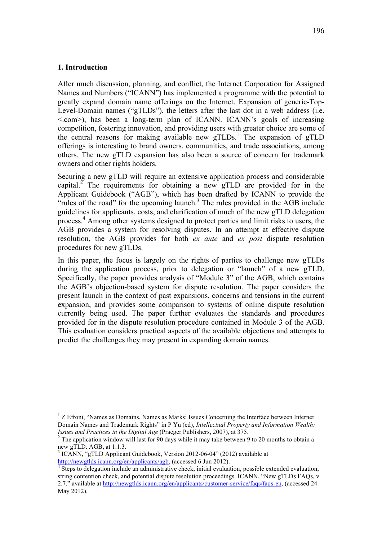#### **1. Introduction**

 $\overline{a}$ 

After much discussion, planning, and conflict, the Internet Corporation for Assigned Names and Numbers ("ICANN") has implemented a programme with the potential to greatly expand domain name offerings on the Internet. Expansion of generic-Top-Level-Domain names ("gTLDs"), the letters after the last dot in a web address (i.e. <.com>), has been a long-term plan of ICANN. ICANN's goals of increasing competition, fostering innovation, and providing users with greater choice are some of the central reasons for making available new  $gTLDs$ <sup>1</sup>. The expansion of  $gTLD$ offerings is interesting to brand owners, communities, and trade associations, among others. The new gTLD expansion has also been a source of concern for trademark owners and other rights holders.

Securing a new gTLD will require an extensive application process and considerable capital.<sup>2</sup> The requirements for obtaining a new gTLD are provided for in the Applicant Guidebook ("AGB"), which has been drafted by ICANN to provide the "rules of the road" for the upcoming launch.<sup>3</sup> The rules provided in the AGB include guidelines for applicants, costs, and clarification of much of the new gTLD delegation process.4 Among other systems designed to protect parties and limit risks to users, the AGB provides a system for resolving disputes. In an attempt at effective dispute resolution, the AGB provides for both *ex ante* and *ex post* dispute resolution procedures for new gTLDs.

In this paper, the focus is largely on the rights of parties to challenge new gTLDs during the application process, prior to delegation or "launch" of a new gTLD. Specifically, the paper provides analysis of "Module 3" of the AGB, which contains the AGB's objection-based system for dispute resolution. The paper considers the present launch in the context of past expansions, concerns and tensions in the current expansion, and provides some comparison to systems of online dispute resolution currently being used. The paper further evaluates the standards and procedures provided for in the dispute resolution procedure contained in Module 3 of the AGB. This evaluation considers practical aspects of the available objections and attempts to predict the challenges they may present in expanding domain names.

<sup>&</sup>lt;sup>1</sup> Z Efroni, "Names as Domains, Names as Marks: Issues Concerning the Interface between Internet Domain Names and Trademark Rights" in P Yu (ed), *Intellectual Property and Information Wealth:* 

<sup>&</sup>lt;sup>2</sup> The application window will last for 90 days while it may take between 9 to 20 months to obtain a new gTLD. AGB, at 1.1.3.

<sup>&</sup>lt;sup>3</sup> ICANN, "gTLD Applicant Guidebook, Version 2012-06-04" (2012) available at

http://newgtlds.icann.org/en/applicants/agb, (accessed 6 Jun 2012).<br><sup>4</sup> Steps to delegation include an administrative check, initial evaluation, possible extended evaluation, string contention check, and potential dispute resolution proceedings. ICANN, "New gTLDs FAQs, v. 2.7." available at http://newgtlds.icann.org/en/applicants/customer-service/faqs/faqs-en, (accessed 24 May 2012).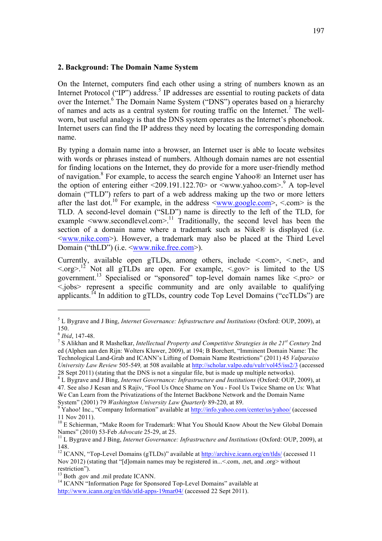#### **2. Background: The Domain Name System**

On the Internet, computers find each other using a string of numbers known as an Internet Protocol ("IP") address.<sup>5</sup> IP addresses are essential to routing packets of data over the Internet.<sup>6</sup> The Domain Name System ("DNS") operates based on a hierarchy of names and acts as a central system for routing traffic on the Internet.<sup>7</sup> The wellworn, but useful analogy is that the DNS system operates as the Internet's phonebook. Internet users can find the IP address they need by locating the corresponding domain name.

By typing a domain name into a browser, an Internet user is able to locate websites with words or phrases instead of numbers. Although domain names are not essential for finding locations on the Internet, they do provide for a more user-friendly method of navigation.8 For example, to access the search engine Yahoo® an Internet user has the option of entering either  $\langle 209.191.122.70 \rangle$  or  $\langle$ www.yahoo.com $>$ .<sup>9</sup> A top-level domain ("TLD") refers to part of a web address making up the two or more letters after the last dot.<sup>10</sup> For example, in the address  $\langle$ www.google.com>,  $\langle$  com> is the TLD. A second-level domain ("SLD") name is directly to the left of the TLD, for example  $\leq$ www.secondlevel.com $>$ .<sup>11</sup> Traditionally, the second level has been the section of a domain name where a trademark such as Nike® is displayed (i.e. <www.nike.com>). However, a trademark may also be placed at the Third Level Domain ("thLD") (i.e.  $\leq$ www.nike.free.com>).

Currently, available open gTLDs, among others, include <.com>, <.net>, and  $\langle \text{.org} \rangle$ .<sup>12</sup> Not all gTLDs are open. For example,  $\langle \text{.gov} \rangle$  is limited to the US government.<sup>13</sup> Specialised or "sponsored" top-level domain names like  $\leq$ pro $>$  or <.jobs> represent a specific community and are only available to qualifying applicants.14 In addition to gTLDs, country code Top Level Domains ("ccTLDs") are

<sup>5</sup> L Bygrave and J Bing, *Internet Governance: Infrastructure and Institutions* (Oxford: OUP, 2009), at 150.

<sup>6</sup> *Ibid*, 147-48. <sup>7</sup> S Alikhan and <sup>R</sup> Mashelkar, *Intellectual Property and Competitive Strategies in the 21st Century* 2nd ed (Alphen aan den Rijn: Wolters Kluwer, 2009), at 194; B Borchert, "Imminent Domain Name: The Technological Land-Grab and ICANN's Lifting of Domain Name Restrictions" (2011) 45 *Valparaiso University Law Review* 505-549*,* at 508 available at http://scholar.valpo.edu/vulr/vol45/iss2/3 (accessed

<sup>28</sup> Sept 2011) (stating that the DNS is not a singular file, but is made up multiple networks). <sup>8</sup> L Bygrave and J Bing, *Internet Governance: Infrastructure and Institutions* (Oxford: OUP, 2009), at 47*.* See also J Kesan and S Rajiv, "Fool Us Once Shame on You - Fool Us Twice Shame on Us: What We Can Learn from the Privatizations of the Internet Backbone Network and the Domain Name

System" (2001) 79 *Washington University Law Quarterly* 89-220, at 89.<br><sup>9</sup> Yahoo! Inc., "Company Information" available at http://info.yahoo.com/center/us/yahoo/ (accessed

<sup>11</sup> Nov 2011).<br><sup>10</sup> E Schierman, "Make Room for Trademark: What You Should Know About the New Global Domain Names" (2010) 53-Feb *Advocate* 25-29, at 25.

<sup>&</sup>lt;sup>11</sup> L Bygrave and J Bing, *Internet Governance: Infrastructure and Institutions* (Oxford: OUP, 2009), at

<sup>148.&</sup>lt;br><sup>12</sup> ICANN, "Top-Level Domains (gTLDs)" available at <u>http://archive.icann.org/en/tlds/</u> (accessed 11 Nov 2012) (stating that "[d]omain names may be registered in...< com, .net, and .org> without restriction").<br><sup>13</sup> Both .gov and .mil predate ICANN.<br><sup>14</sup> ICANN "Information Page for Sponsored Top-Level Domains" available at

http://www.icann.org/en/tlds/stld-apps-19mar04/ (accessed 22 Sept 2011).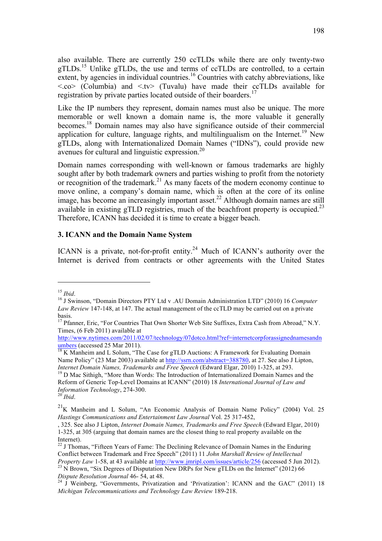also available. There are currently 250 ccTLDs while there are only twenty-two gTLDs.15 Unlike gTLDs, the use and terms of ccTLDs are controlled, to a certain extent, by agencies in individual countries.<sup>16</sup> Countries with catchy abbreviations, like  $\langle \cos \rangle$  (Columbia) and  $\langle \cos \rangle$  (Tuvalu) have made their ccTLDs available for registration by private parties located outside of their boarders.<sup>17</sup>

Like the IP numbers they represent, domain names must also be unique. The more memorable or well known a domain name is, the more valuable it generally becomes.18 Domain names may also have significance outside of their commercial application for culture, language rights, and multilingualism on the Internet.<sup>19</sup> New gTLDs, along with Internationalized Domain Names ("IDNs"), could provide new avenues for cultural and linguistic expression.20

Domain names corresponding with well-known or famous trademarks are highly sought after by both trademark owners and parties wishing to profit from the notoriety or recognition of the trademark.<sup>21</sup> As many facets of the modern economy continue to move online, a company's domain name, which is often at the core of its online image, has become an increasingly important asset.<sup>22</sup> Although domain names are still available in existing gTLD registries, much of the beachfront property is occupied.<sup>23</sup> Therefore, ICANN has decided it is time to create a bigger beach.

#### **3. ICANN and the Domain Name System**

ICANN is a private, not-for-profit entity.<sup>24</sup> Much of ICANN's authority over the Internet is derived from contracts or other agreements with the United States

 $\overline{a}$ 

*Internet Domain Names, Trademarks and Free Speech* (Edward Elgar, 2010) 1-325, at 293.<br><sup>19</sup> D Mac Sithigh, "More than Words: The Introduction of Internationalized Domain Names and the Reform of Generic Top-Level Domains at ICANN" (2010) 18 *International Journal of Law and Information Technology*, 274-300. <sup>20</sup> *Ibid*.

<sup>&</sup>lt;sup>15</sup> *Ibid.* 16 J Swinson, "Domain Directors PTY Ltd v .AU Domain Administration LTD" (2010) 16 *Computer Law Review* 147-148, at 147. The actual management of the ccTLD may be carried out on a private basis.

<sup>&</sup>lt;sup>17</sup> Pfanner, Eric, "For Countries That Own Shorter Web Site Suffixes, Extra Cash from Abroad," N.Y. Times, (6 Feb 2011) available at

http://www.nytimes.com/2011/02/07/technology/07dotco.html?ref=internetcorpforassignednamesandn<br>umbers (accessed 25 Mar 2011). umbers (accessed 25 Mar 2011).<br><sup>18</sup> K Manheim and L Solum, "The Case for gTLD Auctions: A Framework for Evaluating Domain

Name Policy" (23 Mar 2003) available at http://ssrn.com/abstract=388780, at 27. See also J Lipton,

 $21$ K Manheim and L Solum, "An Economic Analysis of Domain Name Policy" (2004) Vol. 25 *Hastings Communications and Entertainment Law Journal* Vol. 25 317-452,

<sup>, 325.</sup> See also J Lipton, *Internet Domain Names, Trademarks and Free Speech* (Edward Elgar, 2010) 1-325, at 305 (arguing that domain names are the closest thing to real property available on the

 $22$  J Thomas, "Fifteen Years of Fame: The Declining Relevance of Domain Names in the Enduring Conflict between Trademark and Free Speech" (2011) 11 *John Marshall Review of Intellectual Property Law* 1-58, at 43 available at http://www.jmripl.com/issues/article/256 (accessed 5 Jun 2012).

<sup>&</sup>lt;sup>23</sup> N Brown, "Six Degrees of Disputation New DRPs for New gTLDs on the Internet" (2012) 66 *Dispute Resolution Journal* 46- 54, at 48.<br><sup>24</sup> J Weinberg, "Governments, Privatization and 'Privatization': ICANN and the GAC" (2011) 18

*Michigan Telecommunications and Technology Law Review* 189-218.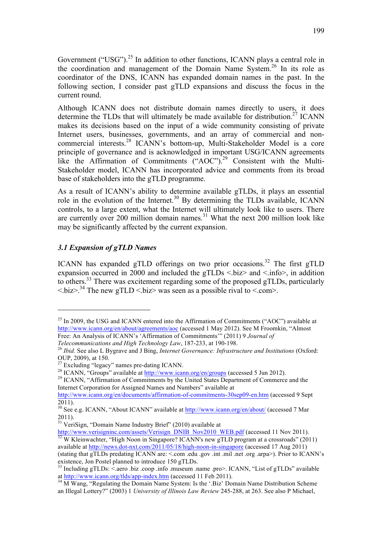Government ("USG").<sup>25</sup> In addition to other functions, ICANN plays a central role in the coordination and management of the Domain Name System.<sup>26</sup> In its role as coordinator of the DNS, ICANN has expanded domain names in the past. In the following section, I consider past gTLD expansions and discuss the focus in the current round.

Although ICANN does not distribute domain names directly to users, it does determine the TLDs that will ultimately be made available for distribution.<sup>27</sup> ICANN makes its decisions based on the input of a wide community consisting of private Internet users, businesses, governments, and an array of commercial and noncommercial interests.<sup>28</sup> ICANN's bottom-up, Multi-Stakeholder Model is a core principle of governance and is acknowledged in important USG/ICANN agreements like the Affirmation of Commitments ("AOC").<sup>29</sup> Consistent with the Multi-Stakeholder model, ICANN has incorporated advice and comments from its broad base of stakeholders into the gTLD programme.

As a result of ICANN's ability to determine available gTLDs, it plays an essential role in the evolution of the Internet.<sup>30</sup> By determining the TLDs available, ICANN controls, to a large extent, what the Internet will ultimately look like to users. There are currently over 200 million domain names.<sup>31</sup> What the next 200 million look like may be significantly affected by the current expansion.

# *3.1 Expansion of gTLD Names*

 $\overline{a}$ 

ICANN has expanded gTLD offerings on two prior occasions.<sup>32</sup> The first gTLD expansion occurred in 2000 and included the gTLDs  $\langle \text{biz} \rangle$  and  $\langle \text{info} \rangle$ , in addition to others.33 There was excitement regarding some of the proposed gTLDs, particularly  $\langle$  soliz $>$ .<sup>34</sup> The new gTLD  $\langle$  biz $>$  was seen as a possible rival to  $\langle$  com $\rangle$ .

Internet Corporation for Assigned Names and Numbers" available at

<sup>31</sup> VeriSign, "Domain Name Industry Brief" (2010) available at  $\frac{http://www.verisigninc.com/assets/Verisign DNIB Nov2010 WEB.pdf}{ae}$  (accessed 11 Nov 2011).  $\frac{32}{32}$ W Kleinwachter, "High Noon in Singapore? ICANN's new gTLD program at a crossroads" (2011). available at http://news.dot-nxt.com/2011/05/18/high-noon-in-singapore (accessed 17 Aug 2011)

 $^{25}$  In 2009, the USG and ICANN entered into the Affirmation of Commitments ("AOC") available at http://www.icann.org/en/about/agreements/aoc (accessed 1 May 2012). See M Froomkin, "Almost Free: An Analysis of ICANN's 'Affirmation of Commitments'" (2011) 9 *Journal of* 

*Telecommunications and High Technology Law*, 187-233, at 190-198.<br><sup>26</sup> *Ibid.* See also L Bygrave and J Bing, *Internet Governance: Infrastructure and Institutions* (Oxford: OUP, 2009), at 150.<br><sup>27</sup> Excluding "legacy" names pre-dating ICANN.

<sup>&</sup>lt;sup>28</sup> ICANN, "Groups" available at  $\frac{http://www.ican.org/en/groups}{http://www.ican.org/en/groups}$  (accessed 5 Jun 2012).

http://www.icann.org/en/documents/affirmation-of-commitments-30sep09-en.htm (accessed 9 Sept 2011).

<sup>&</sup>lt;sup>30</sup> See e.g. ICANN, "About ICANN" available at http://www.icann.org/en/about/ (accessed 7 Mar 2011).

<sup>(</sup>stating that gTLDs predating ICANN are: <.com .edu .gov .int .mil .net .org .arpa>). Prior to ICANN's existence, Jon Postel planned to introduce 150 gTLDs.

<sup>33</sup> Including gTLDs: <.aero .biz .coop .info .museum .name .pro>. ICANN, "List of gTLDs" available at http://www.icann.org/tlds/app-index.htm (accessed 11 Feb 2011).

 $\frac{34}{34}$  M Wang, "Regulating the Domain Name System: Is the '.Biz' Domain Name Distribution Scheme an Illegal Lottery?" (2003) 1 *University of Illinois Law Review* 245-288, at 263. See also P Michael,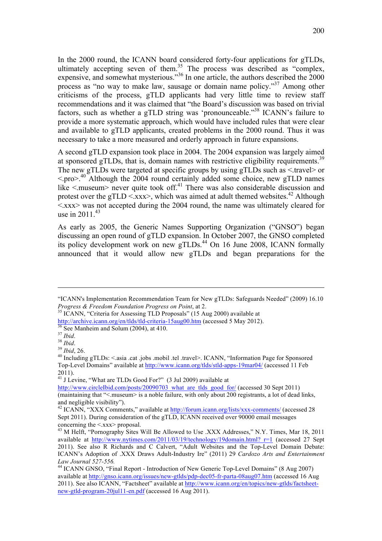In the 2000 round, the ICANN board considered forty-four applications for gTLDs, ultimately accepting seven of them.<sup>35</sup> The process was described as "complex, expensive, and somewhat mysterious."<sup>36</sup> In one article, the authors described the 2000 process as "no way to make law, sausage or domain name policy."<sup>37</sup> Among other criticisms of the process, gTLD applicants had very little time to review staff recommendations and it was claimed that "the Board's discussion was based on trivial factors, such as whether a gTLD string was 'pronounceable."38 ICANN's failure to provide a more systematic approach, which would have included rules that were clear and available to gTLD applicants, created problems in the 2000 round. Thus it was necessary to take a more measured and orderly approach in future expansions.

A second gTLD expansion took place in 2004. The 2004 expansion was largely aimed at sponsored gTLDs, that is, domain names with restrictive eligibility requirements.<sup>39</sup> The new gTLDs were targeted at specific groups by using gTLDs such as  $\leq$ travel $>$  or  $\langle$ -pro $\rangle$ <sup>40</sup> Although the 2004 round certainly added some choice, new gTLD names like  $\leq$  museum never quite took off.<sup>41</sup> There was also considerable discussion and protest over the gTLD  $\leq$ xxx $\geq$ , which was aimed at adult themed websites.<sup>42</sup> Although  $\langle x \rangle$  was not accepted during the 2004 round, the name was ultimately cleared for use in  $2011^{43}$ 

As early as 2005, the Generic Names Supporting Organization ("GNSO") began discussing an open round of gTLD expansion. In October 2007, the GNSO completed its policy development work on new gTLDs.<sup>44</sup> On 16 June 2008, ICANN formally announced that it would allow new gTLDs and began preparations for the

 $\overline{a}$ 

 $41$  J Levine, "What are TLDs Good For?" (3 Jul 2009) available at

<sup>&</sup>quot;ICANN's Implementation Recommendation Team for New gTLDs: Safeguards Needed" (2009) 16.10 *Progress & Freedom Foundation Progress on Point*, at 2.<br><sup>35</sup> ICANN, "Criteria for Assessing TLD Proposals" (15 Aug 2000) available at

http://archive.icann.org/en/tlds/tld-criteria-15aug00.htm (accessed 5 May 2012).<br>
<sup>36</sup> See Manheim and Solum (2004), at 410.<br>
<sup>37</sup> Ibid.<br>
<sup>38</sup> Ibid. 26.<br>
<sup>40</sup> Including gTLDs: <asia .cat .jobs .mobil .tel .travel>. ICANN, Top-Level Domains" available at http://www.icann.org/tlds/stld-apps-19mar04/ (accessed 11 Feb 2011).

http://www.circleIbid.com/posts/20090703\_what\_are\_tlds\_good\_for/ (accessed 30 Sept 2011) (maintaining that "<.museum> is a noble failure, with only about 200 registrants, a lot of dead links, and negligible visibility").

<sup>&</sup>lt;sup>42</sup> ICANN, "XXX Comments," available at http://forum.icann.org/lists/xxx-comments/ (accessed 28 Sept 2011). During consideration of the gTLD, ICANN received over 90000 email messages concerning the <.xxx> proposal.<br><sup>43</sup> M Helft, "Pornography Sites Will Be Allowed to Use .XXX Addresses," N.Y. Times, Mar 18, 2011

available at http://www.nytimes.com/2011/03/19/technology/19domain.html? r=1 (accessed 27 Sept 2011). See also R Richards and C Calvert, "Adult Websites and the Top-Level Domain Debate: ICANN's Adoption of .XXX Draws Adult-Industry Ire" (2011) 29 *Cardozo Arts and Entertainment* 

*Law Journal 527-556.* <sup>44</sup> ICANN GNSO, "Final Report - Introduction of New Generic Top-Level Domains" (8 Aug 2007) available at http://gnso.icann.org/issues/new-gtlds/pdp-dec05-fr-parta-08aug07.htm (accessed 16 Aug 2011). See also ICANN, "Factsheet" available at http://www.icann.org/en/topics/new-gtlds/factsheetnew-gtld-program-20jul11-en.pdf (accessed 16 Aug 2011).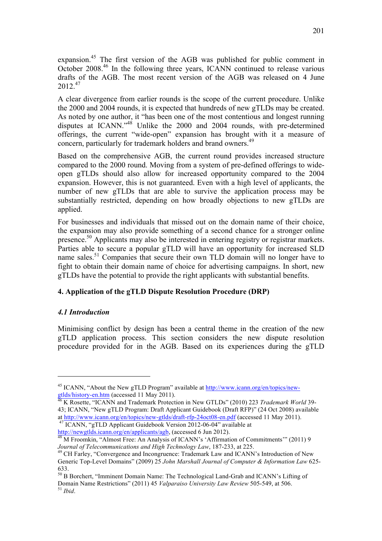expansion.45 The first version of the AGB was published for public comment in October 2008.<sup>46</sup> In the following three years, ICANN continued to release various drafts of the AGB. The most recent version of the AGB was released on 4 June 2012<sup>47</sup>

A clear divergence from earlier rounds is the scope of the current procedure. Unlike the 2000 and 2004 rounds, it is expected that hundreds of new gTLDs may be created. As noted by one author, it "has been one of the most contentious and longest running disputes at ICANN."48 Unlike the 2000 and 2004 rounds, with pre-determined offerings, the current "wide-open" expansion has brought with it a measure of concern, particularly for trademark holders and brand owners.<sup>49</sup>

Based on the comprehensive AGB, the current round provides increased structure compared to the 2000 round. Moving from a system of pre-defined offerings to wideopen gTLDs should also allow for increased opportunity compared to the 2004 expansion. However, this is not guaranteed. Even with a high level of applicants, the number of new gTLDs that are able to survive the application process may be substantially restricted, depending on how broadly objections to new gTLDs are applied.

For businesses and individuals that missed out on the domain name of their choice, the expansion may also provide something of a second chance for a stronger online presence.<sup>50</sup> Applicants may also be interested in entering registry or registrar markets. Parties able to secure a popular gTLD will have an opportunity for increased SLD name sales.<sup>51</sup> Companies that secure their own TLD domain will no longer have to fight to obtain their domain name of choice for advertising campaigns. In short, new gTLDs have the potential to provide the right applicants with substantial benefits.

# **4. Application of the gTLD Dispute Resolution Procedure (DRP)**

# *4.1 Introduction*

 $\overline{a}$ 

Minimising conflict by design has been a central theme in the creation of the new gTLD application process. This section considers the new dispute resolution procedure provided for in the AGB. Based on its experiences during the gTLD

<sup>45</sup> ICANN, "About the New gTLD Program" available at http://www.icann.org/en/topics/newgtlds/history-en.htm (accessed 11 May 2011). <sup>46</sup> K Rosette, "ICANN and Trademark Protection in New GTLDs" (2010) 223 *Trademark World* 39-

<sup>43;</sup> ICANN, "New gTLD Program: Draft Applicant Guidebook (Draft RFP)" (24 Oct 2008) available

at http://www.icann.org/en/topics/new-gtlds/draft-rfp-24oct08-en.pdf (accessed 11 May 2011).<br><sup>47</sup> ICANN, "gTLD Applicant Guidebook Version 2012-06-04" available at<br>http://newgtlds.icann.org/en/applicants/agb, (accessed 6 J

 $\frac{48}{48}$  M Froomkin, "Almost Free: An Analysis of ICANN's 'Affirmation of Commitments'" (2011) 9 *Journal of Telecommunications and High Technology Law*, 187-233, at 225.<br><sup>49</sup> CH Farley, "Convergence and Incongruence: Trademark Law and ICANN's Introduction of New

Generic Top-Level Domains" (2009) 25 *John Marshall Journal of Computer & Information Law* 625- 633.

<sup>&</sup>lt;sup>50</sup> B Borchert, "Imminent Domain Name: The Technological Land-Grab and ICANN's Lifting of Domain Name Restrictions" (2011) 45 *Valparaiso University Law Review* 505-549, at 506. <sup>51</sup> *Ibid*.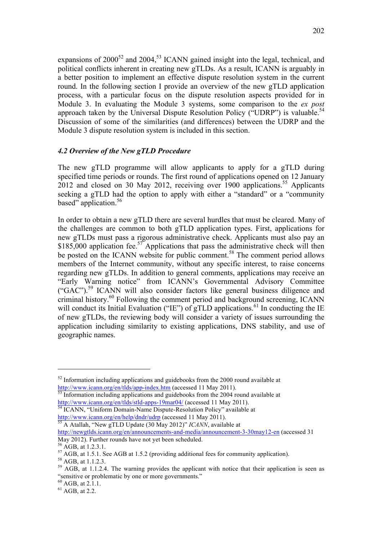expansions of  $2000^{52}$  and  $2004<sup>53</sup>$  ICANN gained insight into the legal, technical, and political conflicts inherent in creating new gTLDs. As a result, ICANN is arguably in a better position to implement an effective dispute resolution system in the current round. In the following section I provide an overview of the new gTLD application process, with a particular focus on the dispute resolution aspects provided for in Module 3. In evaluating the Module 3 systems, some comparison to the *ex post* approach taken by the Universal Dispute Resolution Policy ("UDRP") is valuable.<sup>54</sup> Discussion of some of the similarities (and differences) between the UDRP and the Module 3 dispute resolution system is included in this section.

#### *4.2 Overview of the New gTLD Procedure*

The new gTLD programme will allow applicants to apply for a gTLD during specified time periods or rounds. The first round of applications opened on 12 January 2012 and closed on 30 May 2012, receiving over 1900 applications.<sup>55</sup> Applicants seeking a gTLD had the option to apply with either a "standard" or a "community based" application.<sup>56</sup>

In order to obtain a new gTLD there are several hurdles that must be cleared. Many of the challenges are common to both gTLD application types. First, applications for new gTLDs must pass a rigorous administrative check. Applicants must also pay an \$185,000 application fee.<sup>57</sup> Applications that pass the administrative check will then be posted on the ICANN website for public comment.<sup>58</sup> The comment period allows members of the Internet community, without any specific interest, to raise concerns regarding new gTLDs. In addition to general comments, applications may receive an "Early Warning notice" from ICANN's Governmental Advisory Committee ("GAC").<sup>59</sup> ICANN will also consider factors like general business diligence and criminal history.60 Following the comment period and background screening, ICANN will conduct its Initial Evaluation ("IE") of  $gTLD$  applications.<sup>61</sup> In conducting the IE of new gTLDs, the reviewing body will consider a variety of issues surrounding the application including similarity to existing applications, DNS stability, and use of geographic names.

 $52$  Information including applications and guidebooks from the 2000 round available at http://www.icann.org/en/tlds/app-index.htm (accessed 11 May 2011).<br><sup>53</sup> Information including applications and guidebooks from the 2004 round available at

http://www.icann.org/en/tlds/stld-apps-19mar04/ (accessed 11 May 2011).<br><sup>54</sup> ICANN, "Uniform Domain-Name Dispute-Resolution Policy" available at

http://www.icann.org/en/help/dndr/udrp (accessed 11 May 2011). <sup>55</sup> A Atallah, "New gTLD Update (30 May 2012)" *ICANN*, available at

http://newgtlds.icann.org/en/announcements-and-media/announcement-3-30may12-en (accessed 31 May 2012). Further rounds have not yet been scheduled.<br><sup>56</sup> AGB, at 1.2.3.1.

<sup>&</sup>lt;sup>57</sup> AGB, at 1.5.1. See AGB at 1.5.2 (providing additional fees for community application).<br><sup>58</sup> AGB, at 1.1.2.3.<br><sup>59</sup> AGB, at 1.1.2.4. The warning provides the applicant with notice that their application is seen as "sensitive or problematic by one or more governments."

 $^{60}$  AGB, at 2.1.1.<br><sup>61</sup> AGB, at 2.2.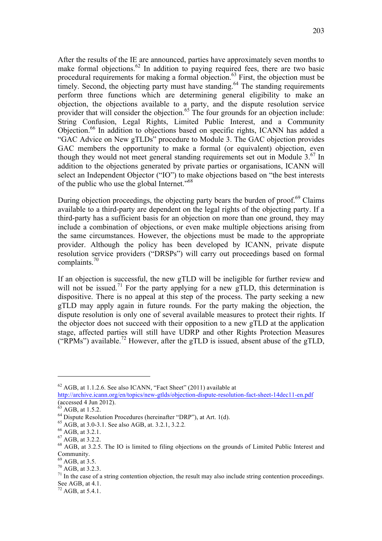After the results of the IE are announced, parties have approximately seven months to make formal objections.<sup>62</sup> In addition to paying required fees, there are two basic procedural requirements for making a formal objection.<sup>63</sup> First, the objection must be timely. Second, the objecting party must have standing.<sup>64</sup> The standing requirements perform three functions which are determining general eligibility to make an objection, the objections available to a party, and the dispute resolution service provider that will consider the objection.<sup>65</sup> The four grounds for an objection include: String Confusion, Legal Rights, Limited Public Interest, and a Community Objection.<sup>66</sup> In addition to objections based on specific rights, ICANN has added a "GAC Advice on New gTLDs" procedure to Module 3. The GAC objection provides GAC members the opportunity to make a formal (or equivalent) objection, even though they would not meet general standing requirements set out in Module  $3.67$  In addition to the objections generated by private parties or organisations, ICANN will select an Independent Objector ("IO") to make objections based on "the best interests of the public who use the global Internet."68

During objection proceedings, the objecting party bears the burden of proof.<sup>69</sup> Claims available to a third-party are dependent on the legal rights of the objecting party. If a third-party has a sufficient basis for an objection on more than one ground, they may include a combination of objections, or even make multiple objections arising from the same circumstances. However, the objections must be made to the appropriate provider. Although the policy has been developed by ICANN, private dispute resolution service providers ("DRSPs") will carry out proceedings based on formal complaints. $70$ 

If an objection is successful, the new gTLD will be ineligible for further review and will not be issued.<sup>71</sup> For the party applying for a new gTLD, this determination is dispositive. There is no appeal at this step of the process. The party seeking a new gTLD may apply again in future rounds. For the party making the objection, the dispute resolution is only one of several available measures to protect their rights. If the objector does not succeed with their opposition to a new gTLD at the application stage, affected parties will still have UDRP and other Rights Protection Measures ("RPMs") available.<sup>72</sup> However, after the gTLD is issued, absent abuse of the gTLD,

 $62$  AGB, at 1.1.2.6. See also ICANN, "Fact Sheet" (2011) available at

http://archive.icann.org/en/topics/new-gtlds/objection-dispute-resolution-fact-sheet-14dec11-en.pdf<br>(accessed 4 Jun 2012).<br><sup>63</sup> AGB, at 1.5.2.

<sup>&</sup>lt;sup>64</sup> Dispute Resolution Procedures (hereinafter "DRP"), at Art. 1(d).<br><sup>65</sup> AGB, at 3.0-3.1. See also AGB, at. 3.2.1, 3.2.2.<br><sup>67</sup> AGB, at 3.2.1.<br><sup>67</sup> AGB, at 3.2.2.<br><sup>67</sup> AGB, at 3.2.5. The IO is limited to filing objection Community.<br><sup>69</sup> AGB, at 3.5.

 $^{70}$  AGB, at 3.2.3.<br><sup>70</sup> AGB, at 3.2.3.<br><sup>71</sup> In the case of a string contention objection, the result may also include string contention proceedings. See AGB, at 4.1.<br><sup>72</sup> AGB, at 5.4.1.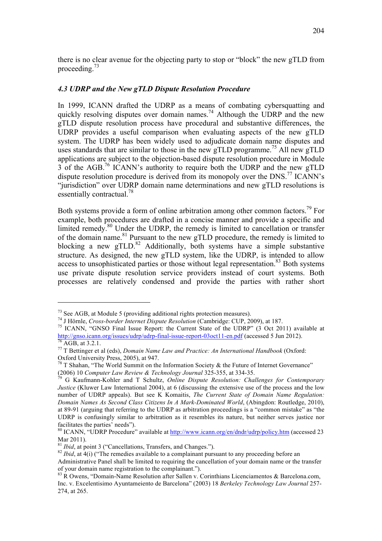there is no clear avenue for the objecting party to stop or "block" the new gTLD from proceeding.<sup>73</sup>

#### *4.3 UDRP and the New gTLD Dispute Resolution Procedure*

In 1999, ICANN drafted the UDRP as a means of combating cybersquatting and quickly resolving disputes over domain names.<sup>74</sup> Although the UDRP and the new gTLD dispute resolution process have procedural and substantive differences, the UDRP provides a useful comparison when evaluating aspects of the new gTLD system. The UDRP has been widely used to adjudicate domain name disputes and uses standards that are similar to those in the new gTLD programme.<sup>75</sup> All new gTLD applications are subject to the objection-based dispute resolution procedure in Module 3 of the AGB.<sup>76</sup> ICANN's authority to require both the UDRP and the new gTLD dispute resolution procedure is derived from its monopoly over the DNS.<sup>77</sup> ICANN's "jurisdiction" over UDRP domain name determinations and new gTLD resolutions is essentially contractual.<sup>78</sup>

Both systems provide a form of online arbitration among other common factors.79 For example, both procedures are drafted in a concise manner and provide a specific and limited remedy.<sup>80</sup> Under the UDRP, the remedy is limited to cancellation or transfer of the domain name.<sup>81</sup> Pursuant to the new  $\tilde{g}TLD$  procedure, the remedy is limited to blocking a new  $gTLD$ <sup>82</sup> Additionally, both systems have a simple substantive structure. As designed, the new gTLD system, like the UDRP, is intended to allow access to unsophisticated parties or those without legal representation.<sup>83</sup> Both systems use private dispute resolution service providers instead of court systems. Both processes are relatively condensed and provide the parties with rather short

<sup>&</sup>lt;sup>73</sup> See AGB, at Module 5 (providing additional rights protection measures).<br><sup>74</sup> J Hörnle, *Cross-border Internet Dispute Resolution* (Cambridge: CUP, 2009), at 187.<br><sup>75</sup> ICANN, "GNSO Final Issue Report: the Current Stat http://gnso.icann.org/issues/udrp/udrp-final-issue-report-03oct11-en.pdf (accessed 5 Jun 2012).<br>
<sup>76</sup> AGB, at 3.2.1.<br>
<sup>77</sup> T Bettinger et al (eds), *Domain Name Law and Practice: An International Handbook* (Oxford:

Oxford University Press, 2005), at 947.<br><sup>78</sup> T Shahan, "The World Summit on the Information Society & the Future of Internet Governance"

<sup>(2006) 10</sup> *Computer Law Review & Technology Journal* 325-355, at 334-35. <sup>79</sup> G Kaufmann-Kohler and T Schultz, *Online Dispute Resolution: Challenges for Contemporary* 

*Justice* (Kluwer Law International 2004), at 6 (discussing the extensive use of the process and the low number of UDRP appeals). But see K Komaitis, *The Current State of Domain Name Regulation: Domain Names As Second Class Citizens In A Mark-Dominated World*, (Abingdon: Routledge, 2010), at 89-91 (arguing that referring to the UDRP as arbitration proceedings is a "common mistake" as "the UDRP is confusingly similar to arbitration as it resembles its nature, but neither serves justice nor facilitates the parties' needs").

<sup>&</sup>lt;sup>80</sup> ICANN, "UDRP Procedure" available at http://www.icann.org/en/dndr/udrp/policy.htm (accessed 23 Mar 2011).<br><sup>81</sup> *Ibid*, at point 3 ("Cancellations, Transfers, and Changes.").

<sup>&</sup>lt;sup>82</sup> *Ibid*, at 4(i) ("The remedies available to a complainant pursuant to any proceeding before an

Administrative Panel shall be limited to requiring the cancellation of your domain name or the transfer of your domain name registration to the complainant.").<br><sup>83</sup> R Owens, "Domain-Name Resolution after Sallen v. Corinthians Licenciamentos & Barcelona.com,

Inc. v. Excelentisimo Ayuntameiento de Barcelona" (2003) 18 *Berkeley Technology Law Journal* 257- 274, at 265.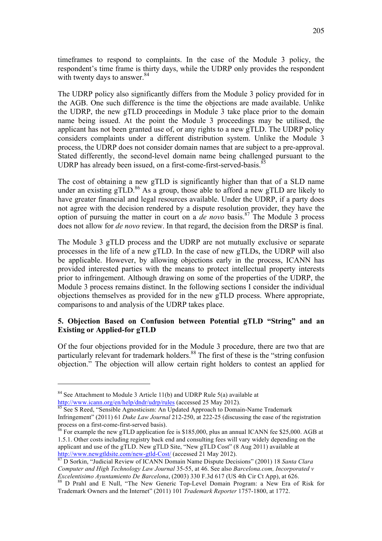timeframes to respond to complaints. In the case of the Module 3 policy, the respondent's time frame is thirty days, while the UDRP only provides the respondent with twenty days to answer.<sup>84</sup>

The UDRP policy also significantly differs from the Module 3 policy provided for in the AGB. One such difference is the time the objections are made available. Unlike the UDRP, the new gTLD proceedings in Module 3 take place prior to the domain name being issued. At the point the Module 3 proceedings may be utilised, the applicant has not been granted use of, or any rights to a new gTLD. The UDRP policy considers complaints under a different distribution system. Unlike the Module 3 process, the UDRP does not consider domain names that are subject to a pre-approval. Stated differently, the second-level domain name being challenged pursuant to the UDRP has already been issued, on a first-come-first-served-basis.<sup>85</sup>

The cost of obtaining a new gTLD is significantly higher than that of a SLD name under an existing  $gTLD$ .<sup>86</sup> As a group, those able to afford a new  $gTLD$  are likely to have greater financial and legal resources available. Under the UDRP, if a party does not agree with the decision rendered by a dispute resolution provider, they have the option of pursuing the matter in court on a *de novo* basis.<sup>87</sup> The Module 3 process does not allow for *de novo* review. In that regard, the decision from the DRSP is final.

The Module 3 gTLD process and the UDRP are not mutually exclusive or separate processes in the life of a new gTLD. In the case of new gTLDs, the UDRP will also be applicable. However, by allowing objections early in the process, ICANN has provided interested parties with the means to protect intellectual property interests prior to infringement. Although drawing on some of the properties of the UDRP, the Module 3 process remains distinct. In the following sections I consider the individual objections themselves as provided for in the new gTLD process. Where appropriate, comparisons to and analysis of the UDRP takes place.

# **5. Objection Based on Confusion between Potential gTLD "String" and an Existing or Applied-for gTLD**

Of the four objections provided for in the Module 3 procedure, there are two that are particularly relevant for trademark holders.<sup>88</sup> The first of these is the "string confusion" objection." The objection will allow certain right holders to contest an applied for

<sup>&</sup>lt;sup>84</sup> See Attachment to Module 3 Article 11(b) and UDRP Rule  $5(a)$  available at http://www.icann.org/en/help/dndr/udrp/rules (accessed 25 May 2012).<br>
<sup>85</sup> See S Reed, "Sensible Agnosticism: An Updated Approach to Domain-Name Trademark

Infringement" (2011) 61 *Duke Law Journal* 212-250, at 222-25 (discussing the ease of the registration process on a first-come-first-served basis).<br><sup>86</sup> For example the new gTLD application fee is \$185,000, plus an annual ICANN fee \$25,000. AGB at

<sup>1.5.1.</sup> Other costs including registry back end and consulting fees will vary widely depending on the applicant and use of the gTLD. New gTLD Site, "New gTLD Cost" (8 Aug 2011) available at http://www.newgtldsite.com/new-gtld-Cost/ (accessed 21 May 2012). 87 D Sorkin, "Judicial Review of ICANN Domain Name Dispute Decisions" (2001) 18 *Santa Clara* 

*Computer and High Technology Law Journal* 35-55, at 46. See also *Barcelona.com, Incorporated v* 

*Excelentisimo Ayuntamiento De Barcelona*, (2003) 330 F.3d 617 (US 4th Circumsetter 38 D Prahl and E Null, "The New Generic Top-Level Domain Program: a New Era of Risk for Trademark Owners and the Internet" (2011) 101 *Trademark Reporter* 1757-1800, at 1772.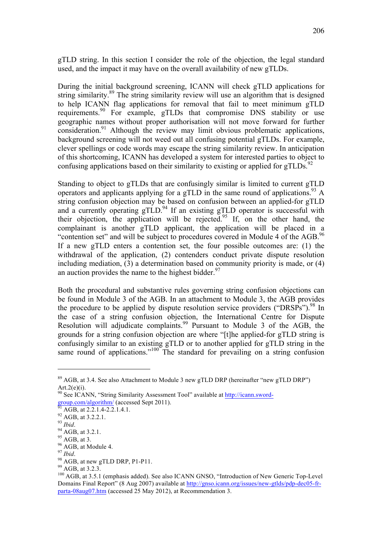gTLD string. In this section I consider the role of the objection, the legal standard used, and the impact it may have on the overall availability of new gTLDs.

During the initial background screening, ICANN will check gTLD applications for string similarity.<sup>89</sup> The string similarity review will use an algorithm that is designed to help ICANN flag applications for removal that fail to meet minimum gTLD requirements.<sup>90</sup> For example, gTLDs that compromise DNS stability or use geographic names without proper authorisation will not move forward for further consideration.<sup>91</sup> Although the review may limit obvious problematic applications, background screening will not weed out all confusing potential gTLDs. For example, clever spellings or code words may escape the string similarity review. In anticipation of this shortcoming, ICANN has developed a system for interested parties to object to confusing applications based on their similarity to existing or applied for  $gTLDs$ .<sup>92</sup>

Standing to object to gTLDs that are confusingly similar is limited to current gTLD operators and applicants applying for a gTLD in the same round of applications.<sup>93</sup> A string confusion objection may be based on confusion between an applied-for gTLD and a currently operating  $gTLD$ <sup>94</sup> If an existing  $gTLD$  operator is successful with their objection, the application will be rejected.<sup>95</sup> If, on the other hand, the complainant is another gTLD applicant, the application will be placed in a "contention set" and will be subject to procedures covered in Module 4 of the AGB.<sup>96</sup> If a new gTLD enters a contention set, the four possible outcomes are: (1) the withdrawal of the application, (2) contenders conduct private dispute resolution including mediation, (3) a determination based on community priority is made, or (4) an auction provides the name to the highest bidder.  $97$ 

Both the procedural and substantive rules governing string confusion objections can be found in Module 3 of the AGB. In an attachment to Module 3, the AGB provides the procedure to be applied by dispute resolution service providers ("DRSPs").<sup>98</sup> In the case of a string confusion objection, the International Centre for Dispute Resolution will adjudicate complaints.<sup>99</sup> Pursuant to Module 3 of the AGB, the grounds for a string confusion objection are where "[t]he applied-for gTLD string is confusingly similar to an existing gTLD or to another applied for gTLD string in the same round of applications."<sup>100</sup> The standard for prevailing on a string confusion

<sup>89</sup> AGB, at 3.4. See also Attachment to Module 3 new gTLD DRP (hereinafter "new gTLD DRP")  $Art.2(e)(i)$ .

<sup>&</sup>lt;sup>90</sup> See ICANN, "String Similarity Assessment Tool" available at  $\frac{http://icann.sword-  
group.com/algorithm/$  (accessed Sept 2011).

<sup>&</sup>lt;sup>91</sup> AGB, at 2.2.1.4-2.2.1.4.1.<br>
<sup>92</sup> AGB, at 3.2.2.1.<br>
<sup>93</sup> *Ibid.*<br>
<sup>94</sup> AGB, at 3.2.1.<br>
<sup>95</sup> AGB, at 3.2.1.<br>
<sup>95</sup> AGB, at 3.2.1.<br>
<sup>96</sup> AGB, at 3.2.3.<br>
<sup>98</sup> AGB, at annew gTLD DRP, P1-P11.<br>
<sup>99</sup> AGB, at 3.2.3.<br>
<sup>100</sup> AG Domains Final Report" (8 Aug 2007) available at http://gnso.icann.org/issues/new-gtlds/pdp-dec05-frparta-08aug07.htm (accessed 25 May 2012), at Recommendation 3.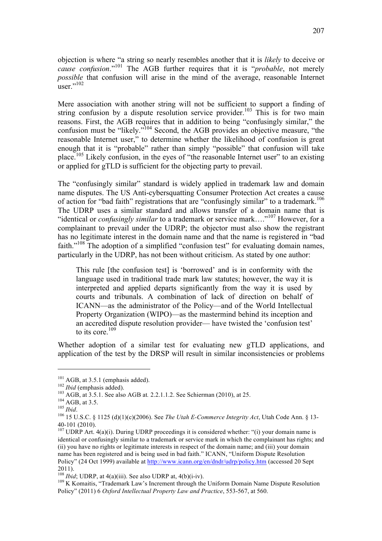objection is where "a string so nearly resembles another that it is *likely* to deceive or *cause confusion*."<sup>101</sup> The AGB further requires that it is "*probable*, not merely *possible* that confusion will arise in the mind of the average, reasonable Internet  $\frac{1}{1}$ user $\frac{102}{1}$ 

Mere association with another string will not be sufficient to support a finding of string confusion by a dispute resolution service provider.<sup>103</sup> This is for two main reasons. First, the AGB requires that in addition to being "confusingly similar," the confusion must be "likely."<sup>104</sup> Second, the AGB provides an objective measure, "the reasonable Internet user," to determine whether the likelihood of confusion is great enough that it is "probable" rather than simply "possible" that confusion will take place.<sup>105</sup> Likely confusion, in the eyes of "the reasonable Internet user" to an existing or applied for gTLD is sufficient for the objecting party to prevail.

The "confusingly similar" standard is widely applied in trademark law and domain name disputes. The US Anti-cybersquatting Consumer Protection Act creates a cause of action for "bad faith" registrations that are "confusingly similar" to a trademark.<sup>106</sup> The UDRP uses a similar standard and allows transfer of a domain name that is "identical or *confusingly similar* to a trademark or service mark…."<sup>107</sup> However, for a complainant to prevail under the UDRP; the objector must also show the registrant has no legitimate interest in the domain name and that the name is registered in "bad faith."<sup>108</sup> The adoption of a simplified "confusion test" for evaluating domain names, particularly in the UDRP, has not been without criticism. As stated by one author:

This rule [the confusion test] is 'borrowed' and is in conformity with the language used in traditional trade mark law statutes; however, the way it is interpreted and applied departs significantly from the way it is used by courts and tribunals. A combination of lack of direction on behalf of ICANN—as the administrator of the Policy—and of the World Intellectual Property Organization (WIPO)—as the mastermind behind its inception and an accredited dispute resolution provider— have twisted the 'confusion test' to its core  $109$ 

Whether adoption of a similar test for evaluating new gTLD applications, and application of the test by the DRSP will result in similar inconsistencies or problems

<sup>&</sup>lt;sup>101</sup> AGB, at 3.5.1 (emphasis added).<br><sup>102</sup> *Ibid* (emphasis added).<br><sup>103</sup> AGB, at 3.5.1. See also AGB at. 2.2.1.1.2. See Schierman (2010), at 25.<br><sup>104</sup> AGB, at 3.5.<br><sup>104</sup> AGB, at 3.5.<br><sup>106</sup> 15 U.S.C. § 1125 (d)(1)(c)(200

<sup>&</sup>lt;sup>107</sup> UDRP Art.  $4(a)(i)$ . During UDRP proceedings it is considered whether: "(i) your domain name is identical or confusingly similar to a trademark or service mark in which the complainant has rights; and (ii) you have no rights or legitimate interests in respect of the domain name; and (iii) your domain name has been registered and is being used in bad faith." ICANN, "Uniform Dispute Resolution Policy" (24 Oct 1999) available at http://www.icann.org/en/dndr/udrp/policy.htm (accessed 20 Sept 2011).<br> $^{108}$  *Ibid*: UDRP, at 4(a)(iii). See also UDRP at, 4(b)(i-iv).

<sup>&</sup>lt;sup>109</sup> K Komaitis, "Trademark Law's Increment through the Uniform Domain Name Dispute Resolution Policy" (2011) 6 *Oxford Intellectual Property Law and Practice*, 553-567, at 560.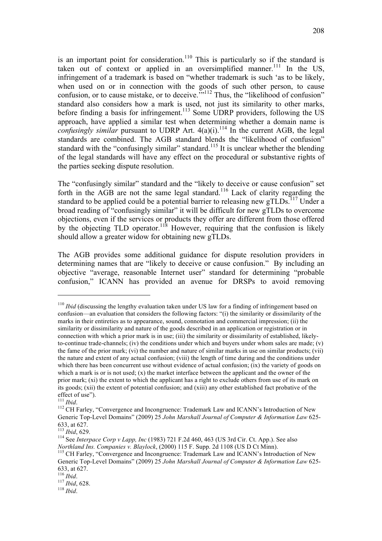is an important point for consideration.<sup>110</sup> This is particularly so if the standard is taken out of context or applied in an oversimplified manner.<sup>111</sup> In the US, infringement of a trademark is based on "whether trademark is such 'as to be likely, when used on or in connection with the goods of such other person, to cause confusion, or to cause mistake, or to deceive.<sup>""112</sup> Thus, the "likelihood of confusion" standard also considers how a mark is used, not just its similarity to other marks, before finding a basis for infringement.<sup>113</sup> Some UDRP providers, following the US approach, have applied a similar test when determining whether a domain name is *confusingly similar* pursuant to UDRP Art.  $4(a)(i)$ .<sup>114</sup> In the current AGB, the legal standards are combined. The AGB standard blends the "likelihood of confusion" standard with the "confusingly similar" standard.<sup>115</sup> It is unclear whether the blending of the legal standards will have any effect on the procedural or substantive rights of the parties seeking dispute resolution.

The "confusingly similar" standard and the "likely to deceive or cause confusion" set forth in the AGB are not the same legal standard.<sup>116</sup> Lack of clarity regarding the standard to be applied could be a potential barrier to releasing new  $gTLDs$ <sup>117</sup> Under a broad reading of "confusingly similar" it will be difficult for new gTLDs to overcome objections, even if the services or products they offer are different from those offered by the objecting TLD operator.<sup>118</sup> However, requiring that the confusion is likely should allow a greater widow for obtaining new gTLDs.

The AGB provides some additional guidance for dispute resolution providers in determining names that are "likely to deceive or cause confusion." By including an objective "average, reasonable Internet user" standard for determining "probable confusion," ICANN has provided an avenue for DRSPs to avoid removing

<sup>&</sup>lt;sup>110</sup> *Ibid* (discussing the lengthy evaluation taken under US law for a finding of infringement based on confusion—an evaluation that considers the following factors: "(i) the similarity or dissimilarity of the marks in their entireties as to appearance, sound, connotation and commercial impression; (ii) the similarity or dissimilarity and nature of the goods described in an application or registration or in connection with which a prior mark is in use; (iii) the similarity or dissimilarity of established, likelyto-continue trade-channels; (iv) the conditions under which and buyers under whom sales are made; (v) the fame of the prior mark; (vi) the number and nature of similar marks in use on similar products; (vii) the nature and extent of any actual confusion; (viii) the length of time during and the conditions under which there has been concurrent use without evidence of actual confusion; (ix) the variety of goods on which a mark is or is not used;  $(x)$  the market interface between the applicant and the owner of the prior mark; (xi) the extent to which the applicant has a right to exclude others from use of its mark on its goods; (xii) the extent of potential confusion; and (xiii) any other established fact probative of the effect of use").<br><sup>111</sup> *Ibid*. <sup>112</sup> CH Farley, "Convergence and Incongruence: Trademark Law and ICANN's Introduction of New

Generic Top-Level Domains" (2009) 25 *John Marshall Journal of Computer & Information Law* 625-

<sup>633,</sup> at 627.<br><sup>113</sup> *Ibid*, 629.<br><sup>114</sup> See *Interpace Corp v Lapp, Inc* (1983) 721 F.2d 460, 463 (US 3rd Cir. Ct. App.). See also<br>*Northland Ins. Companies v. Blavlock*. (2000) 115 F. Supp. 2d 1108 (US D Ct Minn).

<sup>&</sup>lt;sup>115</sup> CH Farley, "Convergence and Incongruence: Trademark Law and ICANN's Introduction of New Generic Top-Level Domains" (2009) 25 *John Marshall Journal of Computer & Information Law* 625- 633, at 627. <sup>116</sup> *Ibid*. 117 *Ibid*, 628. <sup>118</sup> *Ibid*.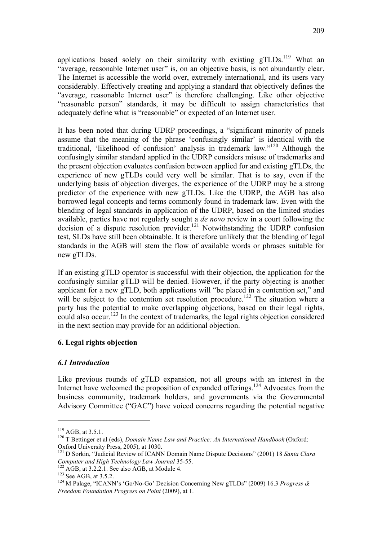applications based solely on their similarity with existing gTLDs.<sup>119</sup> What an "average, reasonable Internet user" is, on an objective basis, is not abundantly clear. The Internet is accessible the world over, extremely international, and its users vary considerably. Effectively creating and applying a standard that objectively defines the "average, reasonable Internet user" is therefore challenging. Like other objective "reasonable person" standards, it may be difficult to assign characteristics that adequately define what is "reasonable" or expected of an Internet user.

It has been noted that during UDRP proceedings, a "significant minority of panels assume that the meaning of the phrase 'confusingly similar' is identical with the traditional, 'likelihood of confusion' analysis in trademark law."<sup>120</sup> Although the confusingly similar standard applied in the UDRP considers misuse of trademarks and the present objection evaluates confusion between applied for and existing gTLDs, the experience of new gTLDs could very well be similar. That is to say, even if the underlying basis of objection diverges, the experience of the UDRP may be a strong predictor of the experience with new gTLDs. Like the UDRP, the AGB has also borrowed legal concepts and terms commonly found in trademark law. Even with the blending of legal standards in application of the UDRP, based on the limited studies available, parties have not regularly sought a *de novo* review in a court following the decision of a dispute resolution provider.<sup>121</sup> Notwithstanding the UDRP confusion test, SLDs have still been obtainable. It is therefore unlikely that the blending of legal standards in the AGB will stem the flow of available words or phrases suitable for new gTLDs.

If an existing gTLD operator is successful with their objection, the application for the confusingly similar gTLD will be denied. However, if the party objecting is another applicant for a new gTLD, both applications will "be placed in a contention set," and will be subject to the contention set resolution procedure.<sup>122</sup> The situation where a party has the potential to make overlapping objections, based on their legal rights, could also occur.<sup>123</sup> In the context of trademarks, the legal rights objection considered in the next section may provide for an additional objection.

# **6. Legal rights objection**

# *6.1 Introduction*

Like previous rounds of gTLD expansion, not all groups with an interest in the Internet have welcomed the proposition of expanded offerings.<sup>124</sup> Advocates from the business community, trademark holders, and governments via the Governmental Advisory Committee ("GAC") have voiced concerns regarding the potential negative

<sup>&</sup>lt;sup>119</sup> AGB, at 3.5.1.<br><sup>120</sup> T Bettinger et al (eds), *Domain Name Law and Practice: An International Handbook* (Oxford:

Oxford University Press, 2005), at 1030.<br><sup>121</sup> D Sorkin, "Judicial Review of ICANN Domain Name Dispute Decisions" (2001) 18 *Santa Clara Computer and High Technology Law Journal* 35-55.

<sup>&</sup>lt;sup>122</sup> AGB, at 3.2.2.1. See also AGB, at Module 4.<br><sup>123</sup> See AGB, at 3.5.2. <sup>124</sup> M Palage, "ICANN's 'Go/No-Go' Decision Concerning New gTLDs" (2009) 16.3 *Progress & Freedom Foundation Progress on Point* (2009), at 1.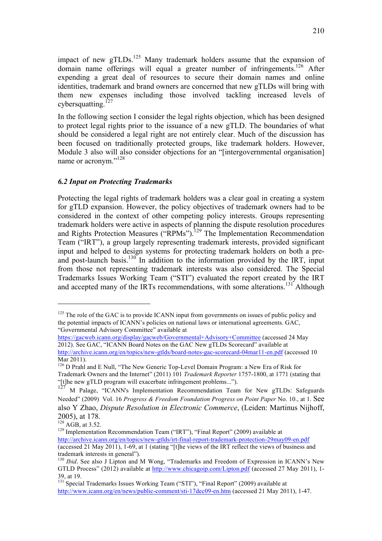impact of new  $gTLDs$ <sup>125</sup> Many trademark holders assume that the expansion of domain name offerings will equal a greater number of infringements.<sup>126</sup> After expending a great deal of resources to secure their domain names and online identities, trademark and brand owners are concerned that new gTLDs will bring with them new expenses including those involved tackling increased levels of cybersquatting. $127$ 

In the following section I consider the legal rights objection, which has been designed to protect legal rights prior to the issuance of a new gTLD. The boundaries of what should be considered a legal right are not entirely clear. Much of the discussion has been focused on traditionally protected groups, like trademark holders. However, Module 3 also will also consider objections for an "[intergovernmental organisation] name or acronym."<sup>128</sup>

# *6.2 Input on Protecting Trademarks*

Protecting the legal rights of trademark holders was a clear goal in creating a system for gTLD expansion. However, the policy objectives of trademark owners had to be considered in the context of other competing policy interests. Groups representing trademark holders were active in aspects of planning the dispute resolution procedures and Rights Protection Measures ("RPMs").<sup>129</sup> The Implementation Recommendation Team ("IRT"), a group largely representing trademark interests, provided significant input and helped to design systems for protecting trademark holders on both a preand post-launch basis.<sup>130</sup> In addition to the information provided by the IRT, input from those not representing trademark interests was also considered. The Special Trademarks Issues Working Team ("STI") evaluated the report created by the IRT and accepted many of the IRTs recommendations, with some alterations.<sup>131</sup> Although

 $125$  The role of the GAC is to provide ICANN input from governments on issues of public policy and the potential impacts of ICANN's policies on national laws or international agreements. GAC, "Governmental Advisory Committee" available at

https://gacweb.icann.org/display/gacweb/Governmental+Advisory+Committee (accessed 24 May 2012). See GAC, "ICANN Board Notes on the GAC New gTLDs Scorecard" available at http://archive.icann.org/en/topics/new-gtlds/board-notes-gac-scorecard-04mar11-en.pdf (accessed 10 Mar 2011).

<sup>&</sup>lt;sup>126</sup> D Prahl and E Null, "The New Generic Top-Level Domain Program: a New Era of Risk for Trademark Owners and the Internet" (2011) 101 *Trademark Reporter* 1757-1800, at 1771 (stating that "[t]he new gTLD program will exacerbate infringement problems...").

<sup>127</sup> M Palage, "ICANN's Implementation Recommendation Team for New gTLDs: Safeguards Needed" (2009) Vol. 16 *Progress & Freedom Foundation Progress on Point Paper* No. 10., at 1. See also Y Zhao, *Dispute Resolution in Electronic Commerce*, (Leiden: Martinus Nijhoff,

<sup>2005),</sup> at 178.<br><sup>128</sup> AGB, at 3.52.

<sup>&</sup>lt;sup>129</sup> Implementation Recommendation Team ("IRT"), "Final Report" (2009) available at http://archive.icann.org/en/topics/new-gtlds/irt-final-report-trademark-protection-29may09-en.pdf (accessed 21 May 2011), 1-69, at 1 (stating "[t]he views of the IRT reflect the views of business and

trademark interests in general"). <sup>130</sup> *Ibid*. See also J Lipton and M Wong, "Trademarks and Freedom of Expression in ICANN's New GTLD Process" (2012) available at http://www.chicagoip.com/Lipton.pdf (accessed 27 May 2011), 1-

<sup>39,</sup> at 19. <sup>131</sup> Special Trademarks Issues Working Team ("STI"), "Final Report" (2009) available at http://www.icann.org/en/news/public-comment/sti-17dec09-en.htm (accessed 21 May 2011), 1-47.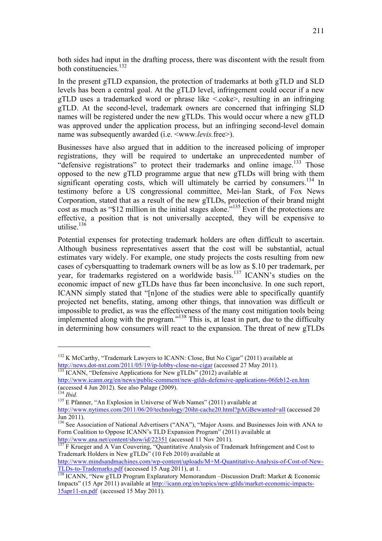both sides had input in the drafting process, there was discontent with the result from both constituencies. $132$ 

In the present gTLD expansion, the protection of trademarks at both gTLD and SLD levels has been a central goal. At the gTLD level, infringement could occur if a new gTLD uses a trademarked word or phrase like <.coke>, resulting in an infringing gTLD. At the second-level, trademark owners are concerned that infringing SLD names will be registered under the new gTLDs. This would occur where a new gTLD was approved under the application process, but an infringing second-level domain name was subsequently awarded (i.e. <www*.levis.*free>).

Businesses have also argued that in addition to the increased policing of improper registrations, they will be required to undertake an unprecedented number of "defensive registrations" to protect their trademarks and online image.<sup>133</sup> Those opposed to the new gTLD programme argue that new gTLDs will bring with them significant operating costs, which will ultimately be carried by consumers.<sup>134</sup> In testimony before a US congressional committee, Mei-lan Stark, of Fox News Corporation, stated that as a result of the new gTLDs, protection of their brand might cost as much as "\$12 million in the initial stages alone."<sup>135</sup> Even if the protections are effective, a position that is not universally accepted, they will be expensive to utilise. $136$ 

Potential expenses for protecting trademark holders are often difficult to ascertain. Although business representatives assert that the cost will be substantial, actual estimates vary widely. For example, one study projects the costs resulting from new cases of cybersquatting to trademark owners will be as low as \$.10 per trademark, per year, for trademarks registered on a worldwide basis.<sup>137</sup> ICANN's studies on the economic impact of new gTLDs have thus far been inconclusive. In one such report, ICANN simply stated that "[n]one of the studies were able to specifically quantify projected net benefits, stating, among other things, that innovation was difficult or impossible to predict, as was the effectiveness of the many cost mitigation tools being implemented along with the program."<sup>138</sup> This is, at least in part, due to the difficulty in determining how consumers will react to the expansion. The threat of new gTLDs

<sup>&</sup>lt;sup>132</sup> K McCarthy, "Trademark Lawyers to ICANN: Close, But No Cigar" (2011) available at http://news.dot-nxt.com/2011/05/19/ip-lobby-close-no-cigar (accessed 27 May 2011).<br><sup>133</sup> ICANN, "Defensive Applications for New gTLDs" (2012) available at

http://www.icann.org/en/news/public-comment/new-gtlds-defensive-applications-06feb12-en.htm (accessed 4 Jun 2012). See also Palage (2009).<br><sup>134</sup> *Ibid.* <sup>135</sup> E Pfanner, "An Explosion in Universe of Web Names" (2011) available at

http://www.nytimes.com/2011/06/20/technology/20iht-cache20.html?pAGBewanted=all (accessed 20 Jun 2011).<br><sup>136</sup> See Association of National Advertisers ("ANA"), "Major Assns. and Businesses Join with ANA to

Form Coalition to Oppose ICANN's TLD Expansion Program" (2011) available at http://www.ana.net/content/show/id/22351 (accessed 11 Nov 2011).

http://www.ana.net/content/show/id/22351 (accessed 11 Nov 2011).<br><sup>137</sup> F Krueger and A Van Couvering, "Quantitative Analysis of Trademark Infringement and Cost to Trademark Holders in New gTLDs" (10 Feb 2010) available at

http://www.mindsandmachines.com/wp-content/uploads/M+M-Quantitative-Analysis-of-Cost-of-New-TLDs-to-Trademarks.pdf (accessed 15 Aug 2011), at 1.<br><sup>138</sup> ICANN, "New gTLD Program Explanatory Memorandum –Discussion Draft: Market & Economic

Impacts" (15 Apr 2011) available at http://icann.org/en/topics/new-gtlds/market-economic-impacts-15apr11-en.pdf (accessed 15 May 2011).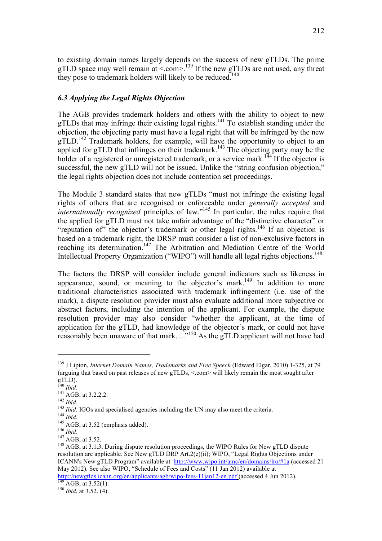to existing domain names largely depends on the success of new gTLDs. The prime gTLD space may well remain at  $\le$  com $>$ .<sup>139</sup> If the new gTLDs are not used, any threat they pose to trademark holders will likely to be reduced.<sup>140</sup>

#### *6.3 Applying the Legal Rights Objection*

The AGB provides trademark holders and others with the ability to object to new gTLDs that may infringe their existing legal rights.<sup>141</sup> To establish standing under the objection, the objecting party must have a legal right that will be infringed by the new  $gTLD$ .<sup>142</sup> Trademark holders, for example, will have the opportunity to object to an applied for gTLD that infringes on their trademark.<sup>143</sup> The objecting party may be the holder of a registered or unregistered trademark, or a service mark.<sup>144</sup> If the objector is successful, the new gTLD will not be issued. Unlike the "string confusion objection," the legal rights objection does not include contention set proceedings.

The Module 3 standard states that new gTLDs "must not infringe the existing legal rights of others that are recognised or enforceable under *generally accepted* and *internationally recognized* principles of law."<sup>145</sup> In particular, the rules require that the applied for gTLD must not take unfair advantage of the "distinctive character" or "reputation of" the objector's trademark or other legal rights.<sup>146</sup> If an objection is based on a trademark right, the DRSP must consider a list of non-exclusive factors in reaching its determination.<sup>147</sup> The Arbitration and Mediation Centre of the World Intellectual Property Organization ("WIPO") will handle all legal rights objections.<sup>148</sup>

The factors the DRSP will consider include general indicators such as likeness in appearance, sound, or meaning to the objector's mark.<sup>149</sup> In addition to more traditional characteristics associated with trademark infringement (i.e. use of the mark), a dispute resolution provider must also evaluate additional more subjective or abstract factors, including the intention of the applicant. For example, the dispute resolution provider may also consider "whether the applicant, at the time of application for the gTLD, had knowledge of the objector's mark, or could not have reasonably been unaware of that mark....<sup>"150</sup> As the gTLD applicant will not have had

<sup>139</sup> J Lipton, *Internet Domain Names, Trademarks and Free Speech* (Edward Elgar, 2010) 1-325, at 79 (arguing that based on past releases of new gTLDs, <.com> will likely remain the most sought after

gTLD).<br><sup>140</sup> *Ibid.*<br><sup>141</sup> AGB, at 3.2.2.2.<br><sup>142</sup> *Ibid.*<br><sup>143</sup> *Ibid.*<br><sup>143</sup> *Ibid.*<br><sup>143</sup> *Ibid.*<br><sup>143</sup> AGB, at 3.52 (emphasis added).<br><sup>146</sup> *Ibid.*<br><sup>144</sup> AGB, at 3.52 (emphasis added).<br><sup>146</sup> *Ibid.*<br><sup>147</sup> AGB, at 3.52.<br>

resolution are applicable. See New gTLD DRP Art.2(e)(ii); WIPO, "Legal Rights Objections under ICANN's New gTLD Program" available at http://www.wipo.int/amc/en/domains/lro/#1a (accessed 21 May 2012). See also WIPO, "Schedule of Fees and Costs" (11 Jan 2012) available at http://newgtlds.icann.org/en/applicants/agb/wipo-fees-11jan12-en.pdf (accessed 4 Jun 2012). 149 AGB, at 3.52(1). <sup>150</sup> *Ibid*, at 3.52. (4).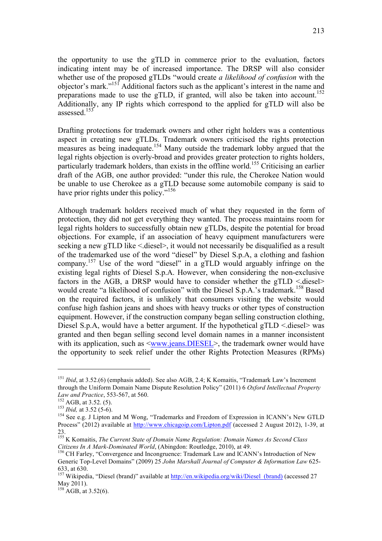the opportunity to use the gTLD in commerce prior to the evaluation, factors indicating intent may be of increased importance. The DRSP will also consider whether use of the proposed gTLDs "would create *a likelihood of confusion* with the objector's mark."151 Additional factors such as the applicant's interest in the name and preparations made to use the gTLD, if granted, will also be taken into account.<sup>152</sup> Additionally, any IP rights which correspond to the applied for gTLD will also be assessed<sup>153</sup>

Drafting protections for trademark owners and other right holders was a contentious aspect in creating new gTLDs. Trademark owners criticised the rights protection measures as being inadequate.<sup>154</sup> Many outside the trademark lobby argued that the legal rights objection is overly-broad and provides greater protection to rights holders, particularly trademark holders, than exists in the offline world.<sup>155</sup> Criticising an earlier draft of the AGB, one author provided: "under this rule, the Cherokee Nation would be unable to use Cherokee as a gTLD because some automobile company is said to have prior rights under this policy."<sup>156</sup>

Although trademark holders received much of what they requested in the form of protection, they did not get everything they wanted. The process maintains room for legal rights holders to successfully obtain new gTLDs, despite the potential for broad objections. For example, if an association of heavy equipment manufacturers were seeking a new gTLD like < diesel>, it would not necessarily be disqualified as a result of the trademarked use of the word "diesel" by Diesel S.p.A, a clothing and fashion company.<sup>157</sup> Use of the word "diesel" in a gTLD would arguably infringe on the existing legal rights of Diesel S.p.A. However, when considering the non-exclusive factors in the AGB, a DRSP would have to consider whether the  $gTLD <$  diesel> would create "a likelihood of confusion" with the Diesel S.p.A.'s trademark.<sup>158</sup> Based on the required factors, it is unlikely that consumers visiting the website would confuse high fashion jeans and shoes with heavy trucks or other types of construction equipment. However, if the construction company began selling construction clothing, Diesel S.p.A, would have a better argument. If the hypothetical  $gTLD \leq$ diesel> was granted and then began selling second level domain names in a manner inconsistent with its application, such as  $\leq$ www.jeans.DIESEL>, the trademark owner would have the opportunity to seek relief under the other Rights Protection Measures (RPMs)

<sup>&</sup>lt;sup>151</sup> *Ibid*, at 3.52.(6) (emphasis added). See also AGB, 2.4; K Komaitis, "Trademark Law's Increment through the Uniform Domain Name Dispute Resolution Policy" (2011) 6 *Oxford Intellectual Property* 

*Law and Practice*, 553-567, at 560.<br><sup>152</sup> AGB, at 3.52. (5).<br><sup>153</sup> *Ibid*, at 3.52 (5-6).<br><sup>154</sup> See e.g. J Lipton and M Wong, "Trademarks and Freedom of Expression in ICANN's New GTLD Process" (2012) available at http://www.chicagoip.com/Lipton.pdf (accessed 2 August 2012), 1-39, at 23.

<sup>155</sup> K Komaitis, *The Current State of Domain Name Regulation: Domain Names As Second Class Citizens In A Mark-Dominated World*, (Abingdon: Routledge, 2010), at 49.<br><sup>156</sup> CH Farley, "Convergence and Incongruence: Trademark Law and ICANN's Introduction of New

Generic Top-Level Domains" (2009) 25 *John Marshall Journal of Computer & Information Law* 625-

<sup>633,</sup> at 630.<br><sup>157</sup> Wikipedia, "Diesel (brand)" available at http://en.wikipedia.org/wiki/Diesel (brand) (accessed 27  $M$ ay 2011).

 $^{158}$  AGB, at 3.52(6).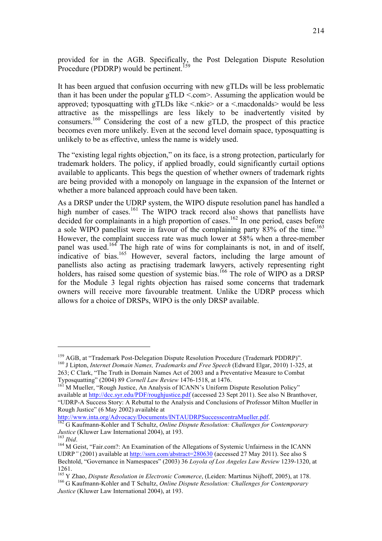provided for in the AGB. Specifically, the Post Delegation Dispute Resolution Procedure (PDDRP) would be pertinent.<sup>159</sup>

It has been argued that confusion occurring with new gTLDs will be less problematic than it has been under the popular  $gTLD \leq com$ . Assuming the application would be approved; typosquatting with gTLDs like  $\leq$ nkie $>$  or a  $\leq$ macdonalds $>$  would be less attractive as the misspellings are less likely to be inadvertently visited by consumers.<sup>160</sup> Considering the cost of a new gTLD, the prospect of this practice becomes even more unlikely. Even at the second level domain space, typosquatting is unlikely to be as effective, unless the name is widely used.

The "existing legal rights objection," on its face, is a strong protection, particularly for trademark holders. The policy, if applied broadly, could significantly curtail options available to applicants. This begs the question of whether owners of trademark rights are being provided with a monopoly on language in the expansion of the Internet or whether a more balanced approach could have been taken.

As a DRSP under the UDRP system, the WIPO dispute resolution panel has handled a high number of cases.<sup>161</sup> The WIPO track record also shows that panellists have decided for complainants in a high proportion of cases.<sup>162</sup> In one period, cases before a sole WIPO panellist were in favour of the complaining party 83% of the time.<sup>163</sup> However, the complaint success rate was much lower at 58% when a three-member panel was used.<sup>164</sup> The high rate of wins for complainants is not, in and of itself, indicative of bias.<sup>165</sup> However, several factors, including the large amount of panellists also acting as practising trademark lawyers, actively representing right holders, has raised some question of systemic bias.<sup>166</sup> The role of WIPO as a DRSP for the Module 3 legal rights objection has raised some concerns that trademark owners will receive more favourable treatment. Unlike the UDRP process which allows for a choice of DRSPs, WIPO is the only DRSP available.

<sup>&</sup>lt;sup>159</sup> AGB, at "Trademark Post-Delegation Dispute Resolution Procedure (Trademark PDDRP)".<br><sup>160</sup> J Lipton, *Internet Domain Names, Trademarks and Free Speech* (Edward Elgar, 2010) 1-325, at

<sup>263;</sup> C Clark, "The Truth in Domain Names Act of 2003 and a Preventative Measure to Combat Typosquatting" (2004) 89 *Cornell Law Review* 1476-1518, at 1476.<br><sup>161</sup> M Mueller, "Rough Justice, An Analysis of ICANN's Uniform Dispute Resolution Policy"

available at http://dcc.syr.edu/PDF/roughjustice.pdf (accessed 23 Sept 2011). See also N Branthover, "UDRP-A Success Story: A Rebuttal to the Analysis and Conclusions of Professor Milton Mueller in Rough Justice" (6 May 2002) available at

http://www.inta.org/Advocacy/Documents/INTAUDRPSuccesscontraMueller.pdf.<br><sup>162</sup> G Kaufmann-Kohler and T Schultz, *Online Dispute Resolution: Challenges for Contemporary Justice* (Kluwer Law International 2004), at 193.<br><sup>1</sup>

<sup>&</sup>lt;sup>164</sup> M Geist, "Fair.com?: An Examination of the Allegations of Systemic Unfairness in the ICANN UDRP*"* (2001) available at http://ssrn.com/abstract=280630 (accessed 27 May 2011). See also S Bechtold, "Governance in Namespaces" (2003) 36 *Loyola of Los Angeles Law Review* 1239-1320, at

<sup>1261.&</sup>lt;br><sup>165</sup> Y Zhao, *Dispute Resolution in Electronic Commerce*, (Leiden: Martinus Nijhoff, 2005), at 178. <sup>166</sup> G Kaufmann-Kohler and T Schultz, *Online Dispute Resolution: Challenges for Contemporary Justice* (Kluwer Law International 2004), at 193.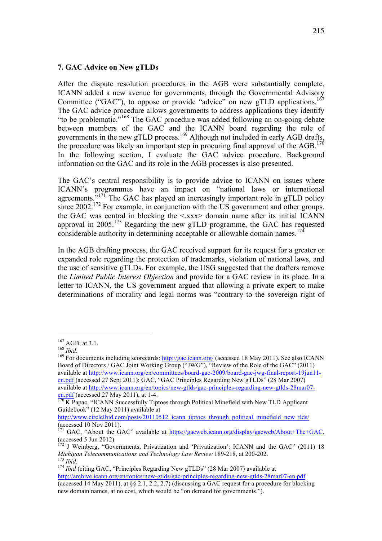# **7. GAC Advice on New gTLDs**

After the dispute resolution procedures in the AGB were substantially complete, ICANN added a new avenue for governments, through the Governmental Advisory Committee ("GAC"), to oppose or provide "advice" on new gTLD applications.<sup>167</sup> The GAC advice procedure allows governments to address applications they identify "to be problematic."<sup>168</sup> The GAC procedure was added following an on-going debate between members of the GAC and the ICANN board regarding the role of governments in the new gTLD process.<sup>169</sup> Although not included in early AGB drafts, the procedure was likely an important step in procuring final approval of the  $AGB$ <sup>170</sup> In the following section, I evaluate the GAC advice procedure. Background information on the GAC and its role in the AGB processes is also presented.

The GAC's central responsibility is to provide advice to ICANN on issues where ICANN's programmes have an impact on "national laws or international agreements. $171^7$  The GAC has played an increasingly important role in gTLD policy since 2002.<sup>172</sup> For example, in conjunction with the US government and other groups, the GAC was central in blocking the  $\langle x \rangle$  domain name after its initial ICANN approval in  $2005$ <sup>173</sup> Regarding the new gTLD programme, the GAC has requested considerable authority in determining acceptable or allowable domain names.<sup>174</sup>

In the AGB drafting process, the GAC received support for its request for a greater or expanded role regarding the protection of trademarks, violation of national laws, and the use of sensitive gTLDs. For example, the USG suggested that the drafters remove the *Limited Public Interest Objection* and provide for a GAC review in its place. In a letter to ICANN, the US government argued that allowing a private expert to make determinations of morality and legal norms was "contrary to the sovereign right of

<sup>&</sup>lt;sup>167</sup> AGB, at 3.1.<br><sup>168</sup> *Ibid*. <sup>169</sup> For documents including scorecards: http://gac.icann.org/ (accessed 18 May 2011). See also ICANN Board of Directors / GAC Joint Working Group ("JWG"), "Review of the Role of the GAC" (2011) available at http://www.icann.org/en/committees/board-gac-2009/board-gac-jwg-final-report-19jun11 en.pdf (accessed 27 Sept 2011); GAC, "GAC Principles Regarding New gTLDs" (28 Mar 2007) available at http://www.icann.org/en/topics/new-gtlds/gac-principles-regarding-new-gtlds-28mar07 en.pdf (accessed 27 May 2011), at 1-4.<br><sup>170</sup> K Papac, "ICANN Successfully Tiptoes through Political Minefield with New TLD Applicant

Guidebook" (12 May 2011) available at

http://www.circleIbid.com/posts/20110512\_icann\_tiptoes\_through\_political\_minefield\_new\_tlds/ (accessed 10 Nov 2011).

<sup>&</sup>lt;sup>171</sup> GAC, "About the GAC" available at  $\frac{https://gacweb.icam.org/display/gacweb/About+The+GAC}{}$ ,

<sup>(</sup>accessed 5 Jun 2012).<br><sup>172</sup> J Weinberg, "Governments, Privatization and 'Privatization': ICANN and the GAC" (2011) 18<br>*Michigan Telecommunications and Technology Law Review* 189-218, at 200-202.

*Michigan Telecommunications and Telecommunications and Telecommunications and Telecommunications and Telecommunications and Telecommunications and Telecommunications and Telecommunications and Telecommunications and Telec* http://archive.icann.org/en/topics/new-gtlds/gac-principles-regarding-new-gtlds-28mar07-en.pdf (accessed 14 May 2011), at  $\S$  2.1, 2.2, 2.7) (discussing a GAC request for a procedure for blocking new domain names, at no cost, which would be "on demand for governments.").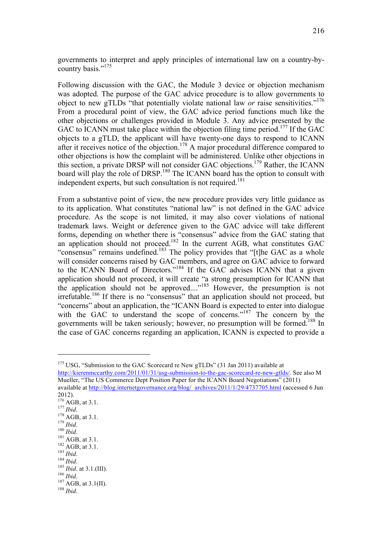governments to interpret and apply principles of international law on a country-bycountry basis."<sup>175</sup>

Following discussion with the GAC, the Module 3 device or objection mechanism was adopted. The purpose of the GAC advice procedure is to allow governments to object to new gTLDs "that potentially violate national law *or* raise sensitivities."176 From a procedural point of view, the GAC advice period functions much like the other objections or challenges provided in Module 3. Any advice presented by the GAC to ICANN must take place within the objection filing time period.<sup>177</sup> If the GAC objects to a gTLD, the applicant will have twenty-one days to respond to ICANN after it receives notice of the objection.<sup>178</sup> A major procedural difference compared to other objections is how the complaint will be administered. Unlike other objections in this section, a private DRSP will not consider GAC objections.179 Rather, the ICANN board will play the role of DRSP.<sup>180</sup> The ICANN board has the option to consult with independent experts, but such consultation is not required.<sup>181</sup>

From a substantive point of view, the new procedure provides very little guidance as to its application. What constitutes "national law" is not defined in the GAC advice procedure. As the scope is not limited, it may also cover violations of national trademark laws. Weight or deference given to the GAC advice will take different forms, depending on whether there is "consensus" advice from the GAC stating that an application should not proceed.<sup>182</sup> In the current AGB, what constitutes  $GAC$ "consensus" remains undefined.<sup>183</sup> The policy provides that "[t]he GAC as a whole will consider concerns raised by GAC members, and agree on GAC advice to forward to the ICANN Board of Directors."184 If the GAC advises ICANN that a given application should not proceed, it will create "a strong presumption for ICANN that the application should not be approved...."<sup>185</sup> However, the presumption is not  $irrefutable.<sup>186</sup>$  If there is no "consensus" that an application should not proceed, but "concerns" about an application, the "ICANN Board is expected to enter into dialogue with the GAC to understand the scope of concerns."<sup>187</sup> The concern by the governments will be taken seriously; however, no presumption will be formed.<sup>188</sup> In the case of GAC concerns regarding an application, ICANN is expected to provide a

 $175$  USG, "Submission to the GAC Scorecard re New gTLDs" (31 Jan 2011) available at http://kierenmccarthy.com/2011/01/31/usg-submission-to-the-gac-scorecard-re-new-gtlds/. See also M Mueller, "The US Commerce Dept Position Paper for the ICANN Board Negotiations" (2011) available at http://blog.internetgovernance.org/blog/\_archives/2011/1/29/4737705.html (accessed 6 Jun 2012).<br> $^{176}$  AGB, at 3.1. 177 *Ibid.*<br>
178 AGB, at 3.1.<br>
179 *Ibid.*<br>
180 *Ibid.*<br>
181 AGB, at 3.1.<br>
182 AGB, at 3.1.<br>
183 *Ibid.*<br>
184 *Ibid.*<br>
185 *Ibid.*<br>
187 AGB, at 3.1.(III).<br>
186 *Ibid.*<br>
187 AGB, at 3.1.(III).<br>
188 *Ibid.*<br>
187 AGB, at 3.1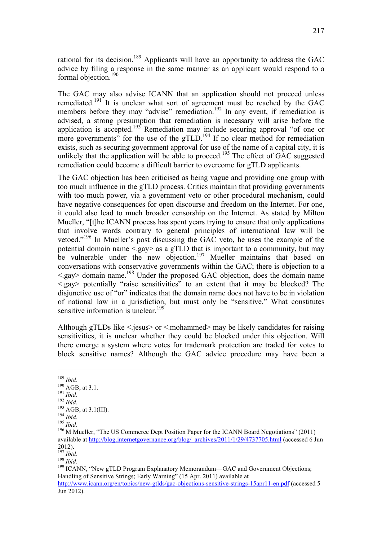rational for its decision.<sup>189</sup> Applicants will have an opportunity to address the GAC advice by filing a response in the same manner as an applicant would respond to a formal objection.<sup>190</sup>

The GAC may also advise ICANN that an application should not proceed unless remediated.<sup>191</sup> It is unclear what sort of agreement must be reached by the GAC members before they may "advise" remediation.<sup>192</sup> In any event, if remediation is advised, a strong presumption that remediation is necessary will arise before the application is accepted.<sup>193</sup> Remediation may include securing approval "of one or more governments" for the use of the gTLD.<sup>194</sup> If no clear method for remediation exists, such as securing government approval for use of the name of a capital city, it is unlikely that the application will be able to proceed.<sup>195</sup> The effect of GAC suggested remediation could become a difficult barrier to overcome for gTLD applicants.

The GAC objection has been criticised as being vague and providing one group with too much influence in the gTLD process. Critics maintain that providing governments with too much power, via a government veto or other procedural mechanism, could have negative consequences for open discourse and freedom on the Internet. For one, it could also lead to much broader censorship on the Internet. As stated by Milton Mueller, "[t]he ICANN process has spent years trying to ensure that only applications that involve words contrary to general principles of international law will be vetoed."<sup>196</sup> In Mueller's post discussing the GAC veto, he uses the example of the potential domain name <.gay> as a gTLD that is important to a community, but may be vulnerable under the new objection.<sup>197</sup> Mueller maintains that based on conversations with conservative governments within the GAC; there is objection to a  $\leq$  gay domain name.<sup>198</sup> Under the proposed GAC objection, does the domain name <.gay> potentially "raise sensitivities" to an extent that it may be blocked? The disjunctive use of "or" indicates that the domain name does not have to be in violation of national law in a jurisdiction, but must only be "sensitive." What constitutes sensitive information is unclear.<sup>199</sup>

Although gTLDs like  $\le$  iesus $>$  or  $\le$  mohammed $>$  may be likely candidates for raising sensitivities, it is unclear whether they could be blocked under this objection. Will there emerge a system where votes for trademark protection are traded for votes to block sensitive names? Although the GAC advice procedure may have been a

<sup>&</sup>lt;sup>189</sup> *Ibid.*<br>
<sup>190</sup> AGB, at 3.1.<br>
<sup>191</sup> *Ibid.*<br>
<sup>192</sup> *Ibid.*<br>
<sup>194</sup> *Ibid.* 195 *Ibid.*<br>
<sup>196</sup> M Mueller, "The US Commerce Dept Position Paper for the ICANN Board Negotiations" (2011) available at http://blog.internetgovernance.org/blog/\_archives/2011/1/29/4737705.html (accessed 6 Jun  $^{2012)}_{^{197}}$  Ibid.

<sup>197</sup> *Ibid*.<br><sup>198</sup> *Ibid*.<br><sup>199</sup> ICANN, "New gTLD Program Explanatory Memorandum—GAC and Government Objections; Handling of Sensitive Strings; Early Warning" (15 Apr. 2011) available at

http://www.icann.org/en/topics/new-gtlds/gac-objections-sensitive-strings-15apr11-en.pdf (accessed 5 Jun 2012).